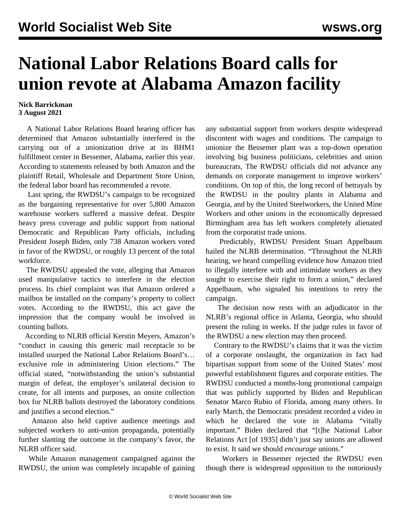## **National Labor Relations Board calls for union revote at Alabama Amazon facility**

## **Nick Barrickman 3 August 2021**

 A National Labor Relations Board hearing officer has determined that Amazon substantially interfered in the carrying out of a unionization drive at its BHM1 fulfillment center in Bessemer, Alabama, earlier this year. According to statements released by both Amazon and the plaintiff Retail, Wholesale and Department Store Union, the federal labor board has recommended a revote.

 Last spring, the RWDSU's campaign to be recognized as the bargaining representative for over 5,800 Amazon warehouse workers suffered a [massive defeat](/en/articles/2021/04/10/pers-a10.html). Despite heavy press coverage and public support from national Democratic and Republican Party officials, including President Joseph Biden, only 738 Amazon workers voted in favor of the RWDSU, or roughly 13 percent of the total workforce.

 The RWDSU appealed the vote, alleging that Amazon used manipulative tactics to interfere in the election process. Its chief complaint was that Amazon ordered a mailbox be installed on the company's property to collect votes. According to the RWDSU, this act gave the impression that the company would be involved in counting ballots.

 According to NLRB official Kerstin Meyers, Amazon's "conduct in causing this generic mail receptacle to be installed usurped the National Labor Relations Board's… exclusive role in administering Union elections." The official stated, "notwithstanding the union's substantial margin of defeat, the employer's unilateral decision to create, for all intents and purposes, an onsite collection box for NLRB ballots destroyed the laboratory conditions and justifies a second election."

 Amazon also held captive audience meetings and subjected workers to anti-union propaganda, potentially further slanting the outcome in the company's favor, the NLRB officer said.

 While Amazon management campaigned against the RWDSU, the union was completely incapable of gaining any substantial support from workers despite widespread discontent with wages and conditions. The campaign to unionize the Bessemer plant was a top-down operation involving big business politicians, celebrities and union bureaucrats, The RWDSU officials did not advance any demands on corporate management to improve workers' conditions. On top of this, the long record of betrayals by the RWDSU in the poultry plants in Alabama and Georgia, and by the United Steelworkers, the United Mine Workers and other unions in the economically depressed Birmingham area has left workers completely alienated from the corporatist trade unions.

 Predictably, RWDSU President Stuart Appelbaum hailed the NLRB determination. "Throughout the NLRB hearing, we heard compelling evidence how Amazon tried to illegally interfere with and intimidate workers as they sought to exercise their right to form a union," declared Appelbaum, who signaled his intentions to retry the campaign.

 The decision now rests with an adjudicator in the NLRB's regional office in Atlanta, Georgia, who should present the ruling in weeks. If the judge rules in favor of the RWDSU a new election may then proceed.

 Contrary to the RWDSU's claims that it was the victim of a corporate onslaught, the organization in fact had bipartisan support from some of the United States' most powerful establishment figures and corporate entities. The RWDSU conducted a months-long promotional campaign that was publicly supported by Biden and Republican Senator [Marco Rubio](/en/articles/2021/03/18/amaz-m18.html) of Florida, among many others. In early March, the Democratic president [recorded](/en/articles/2021/03/03/pers-m03.html) a video in which he declared the vote in Alabama "vitally important." Biden declared that "[t]he National Labor Relations Act [of 1935] didn't just say unions are allowed to exist. It said we should *encourage* unions."

 Workers in Bessemer rejected the RWDSU even though there is widespread opposition to the [notoriously](/en/articles/2021/06/28/amaz-j28.html)